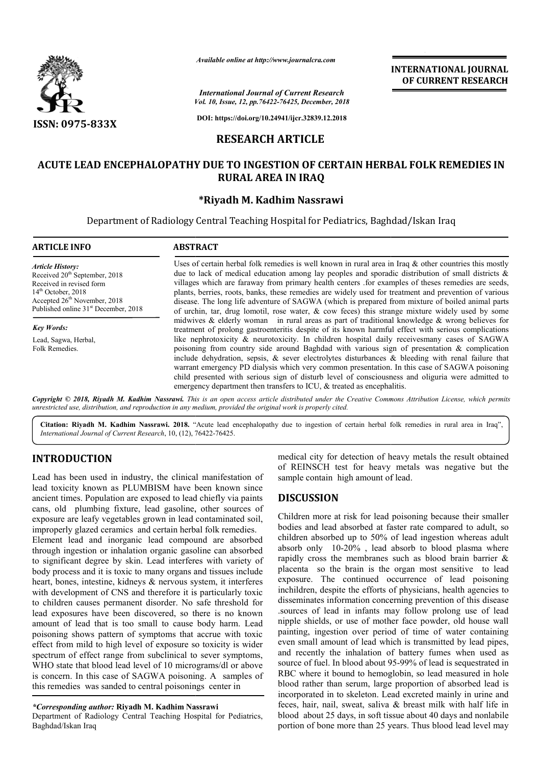

*Available online at http://www.journalcra.com*

**INTERNATIONAL JOURNAL OF CURRENT RESEARCH**

*Vol. 10, Issue, 12, pp. pp.76422-76425, December, 2018 International Journal of Current Research*

**DOI: https://doi.org/10.24941/ijcr.32839.12.2018**

# **RESEARCH ARTICLE**

# **ACUTE LEAD ENCEPHALOPATHY DUE TO INGESTION OF CERTAIN HERBAL FOLK REMEDIES IN RURAL AREA IN IRAQ**

### **\*Riyadh M. Kadhim Nassrawi**

Department of Radiology Central Teaching Hospital for Pediatrics, Baghdad/Iskan Iraq

| <b>ARTICLE INFO</b>                                                                                                                                                                                                      | <b>ABSTRACT</b>                                                                                                                                                                                                                                                                                                                                                                                                                                                                                                                                                                                                                        |
|--------------------------------------------------------------------------------------------------------------------------------------------------------------------------------------------------------------------------|----------------------------------------------------------------------------------------------------------------------------------------------------------------------------------------------------------------------------------------------------------------------------------------------------------------------------------------------------------------------------------------------------------------------------------------------------------------------------------------------------------------------------------------------------------------------------------------------------------------------------------------|
| <b>Article History:</b><br>Received 20 <sup>th</sup> September, 2018<br>Received in revised form<br>$14th$ October, 2018<br>Accepted 26 <sup>th</sup> November, 2018<br>Published online 31 <sup>st</sup> December, 2018 | Uses of certain herbal folk remedies is well known in rural area in Iraq & other countries this mostly<br>due to lack of medical education among lay peoples and sporadic distribution of small districts $\&$<br>villages which are faraway from primary health centers for examples of theses remedies are seeds,<br>plants, berries, roots, banks, these remedies are widely used for treatment and prevention of various<br>disease. The long life adventure of SAGWA (which is prepared from mixture of boiled animal parts<br>of urchin, tar, drug lomotil, rose water, $\&$ cow feces) this strange mixture widely used by some |
| <b>Key Words:</b>                                                                                                                                                                                                        | midwives & elderly woman in rural areas as part of traditional knowledge & wrong believes for<br>treatment of prolong gastroenteritis despite of its known harmful effect with serious complications                                                                                                                                                                                                                                                                                                                                                                                                                                   |
| Lead, Sagwa, Herbal,<br>Folk Remedies.                                                                                                                                                                                   | like nephrotoxicity & neurotoxicity. In children hospital daily receives many cases of SAGWA<br>poisoning from country side around Baghdad with various sign of presentation $\&$ complication<br>include dehydration, sepsis, $\&$ sever electrolytes disturbances $\&$ bleeding with renal failure that<br>warrant emergency PD dialysis which very common presentation. In this case of SAGWA poisoning<br>child presented with serious sign of disturb level of consciousness and oliguria were admitted to<br>emergency department then transfers to ICU, & treated as encephalitis.                                              |

Copyright © 2018, Riyadh M. Kadhim Nassrawi. This is an open access article distributed under the Creative Commons Attribution License, which permits *unrestricted use, distribution, and reproduction in any medium, provided the original work is properly cited.*

Citation: Riyadh M. Kadhim Nassrawi. 2018. "Acute lead encephalopathy due to ingestion of certain herbal folk remedies in rural area in Iraq", *International Journal of Current Research*, 10, (12), 76422 76422-76425.

## **INTRODUCTION**

Lead has been used in industry, the clinical manifestation of lead toxicity known as PLUMBISM have been known since ancient times. Population are exposed to lead chiefly via paints cans, old plumbing fixture, lead gasoline, other sources of exposure are leafy vegetables grown in lead contaminated soil, improperly glazed ceramics and certain herbal folk remedies.

Element lead and inorganic lead compound are absorbed through ingestion or inhalation organic gasoline can absorbed to significant degree by skin. Lead interferes with variety of body process and it is toxic to many organs and tissues include heart, bones, intestine, kidneys & nervous system, it interferes with development of CNS and therefore it is particularly toxic to children causes permanent disorder. No safe threshold for lead exposures have been discovered, so there is no known amount of lead that is too small to cause body harm. Lead poisoning shows pattern of symptoms that accrue with toxic effect from mild to high level of exposure so toxicity is wider spectrum of effect range from subclinical to sever symptoms, WHO state that blood lead level of 10 micrograms/dl or above spectrum of effect range from subclinical to sever symptoms,<br>WHO state that blood lead level of 10 micrograms/dl or above<br>is concern. In this case of SAGWA poisoning. A samples of this remedies was sanded to central poisonings center in

#### *\*Corresponding author:* **Riyadh M. Kadhim Nassrawi**

Department of Radiology Central Teaching Hospital for Pediatrics, Baghdad/Iskan Iraq

medical city for detection of heavy metals the result obtained of REINSCH test for heavy metals was negative but the sample contain high amount of lead. result dical city for detection of heavy metals the result<br>REINSCH test for heavy metals was negative<br>uple contain high amount of lead.

## **DISCUSSION**

Children more at risk for lead poisoning because their smaller Children more at risk for lead poisoning because their smaller bodies and lead absorbed at faster rate compared to adult, so children absorbed up to 50% of lead ingestion whereas adult children absorbed up to 50% of lead ingestion whereas adult absorb only 10-20%, lead absorb to blood plasma where rapidly cross the membranes such as blood brain barrier & placenta so the brain is the organ most sensitive to lead exposure. The continued occurrence of lead poisoning inchildren, despite the efforts of physicians, health agencies to disseminates information concerning prevention of this disease .sources of lead in infants may follow prolong use of lead nipple shields, or use of mother face powder, painting, ingestion over period of time of water containing even small amount of lead which is transmitted by lead pipes, and recently the inhalation of battery fumes when used as source of fuel. In blood about 95-99% of lead is sequestrated in RBC where it bound to hemoglobin, so lead measured in hole RBC where it bound to hemoglobin, so lead measured in hole<br>blood rather than serum, large proportion of absorbed lead is incorporated in to skeleton. Lead excreted mainly in urine and feces, hair, nail, sweat, saliva & breast milk with half life in blood about 25 days, in soft tissue about 40 days and nonlabile portion of bone more than 25 years. Thus blood lead level may rapidly cross the membranes such as blood brain barrier & placenta so the brain is the organ most sensitive to lead exposure. The continued occurrence of lead poisoning inchildren, despite the efforts of physicians, health iod of time of water containing<br>hich is transmitted by lead pipes,<br>of battery fumes when used as<br>95-99% of lead is sequestrated in incorporated in to skeleton. Lead excreted mainly in urine and feces, hair, nail, sweat, saliva  $\&$  breast milk with half life in blood about 25 days, in soft tissue about 40 days and nonlabile portion of bone more than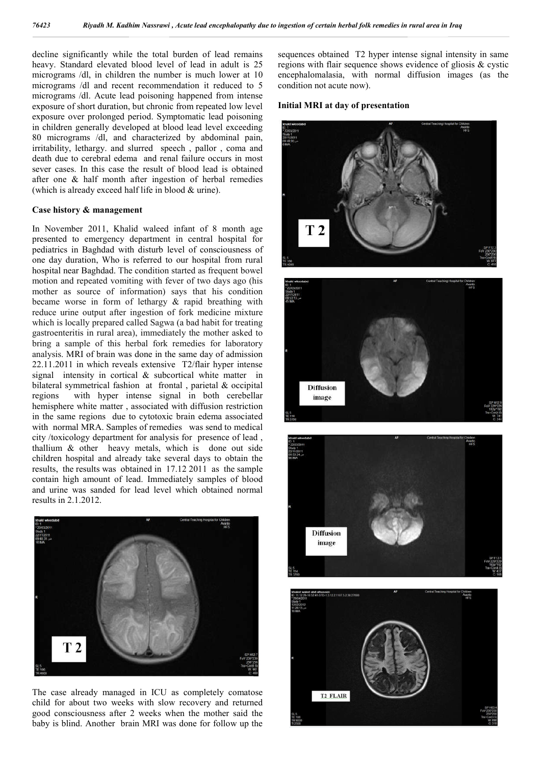decline significantly while the total burden of lead remains heavy. Standard elevated blood level of lead in adult is 25 micrograms /dl, in children the number is much lower at 10 micrograms /dl and recent recommendation it reduced to 5 micrograms /dl. Acute lead poisoning happened from intense exposure of short duration, but chronic from repeated low level exposure over prolonged period. Symptomatic lead poisoning in children generally developed at blood lead level exceeding 80 micrograms /dl, and characterized by abdominal pain, irritability, lethargy. and slurred speech , pallor , coma and death due to cerebral edema and renal failure occurs in most sever cases. In this case the result of blood lead is obtained after one & half month after ingestion of herbal remedies (which is already exceed half life in blood & urine).

#### **Case history & management**

In November 2011, Khalid waleed infant of 8 month age presented to emergency department in central hospital for pediatrics in Baghdad with disturb level of consciousness of one day duration, Who is referred to our hospital from rural hospital near Baghdad. The condition started as frequent bowel motion and repeated vomiting with fever of two days ago (his mother as source of information) says that his condition became worse in form of lethargy & rapid breathing with reduce urine output after ingestion of fork medicine mixture which is locally prepared called Sagwa (a bad habit for treating gastroenteritis in rural area), immediately the mother asked to bring a sample of this herbal fork remedies for laboratory analysis. MRI of brain was done in the same day of admission 22.11.2011 in which reveals extensive T2/flair hyper intense signal intensity in cortical & subcortical white matter in bilateral symmetrical fashion at frontal , parietal & occipital regions with hyper intense signal in both cerebellar hemisphere white matter , associated with diffusion restriction in the same regions due to cytotoxic brain edema associated with normal MRA. Samples of remedies was send to medical city /toxicology department for analysis for presence of lead , thallium & other heavy metals, which is done out side children hospital and already take several days to obtain the results, the results was obtained in 17.12 2011 as the sample contain high amount of lead. Immediately samples of blood and urine was sanded for lead level which obtained normal results in 2.1.2012.



The case already managed in ICU as completely comatose child for about two weeks with slow recovery and returned good consciousness after 2 weeks when the mother said the baby is blind. Another brain MRI was done for follow up the

sequences obtained T2 hyper intense signal intensity in same regions with flair sequence shows evidence of gliosis & cystic encephalomalasia, with normal diffusion images (as the condition not acute now).

### **Initial MRI at day of presentation**







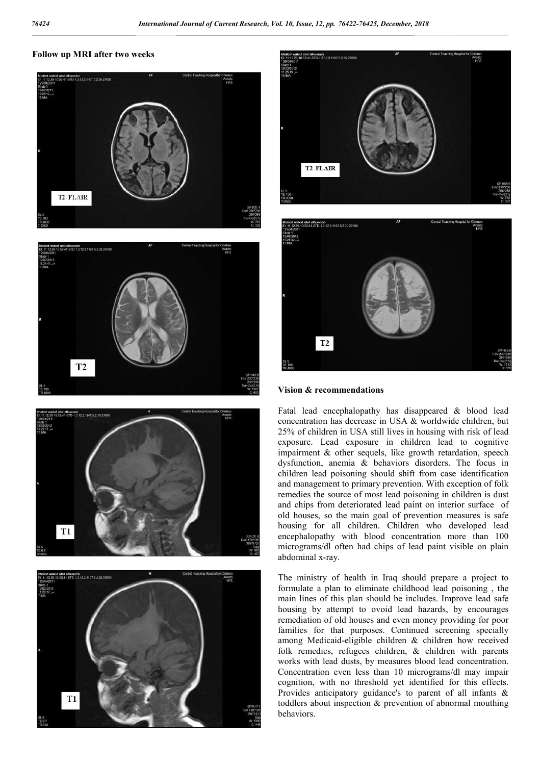#### **Follow up MRI after two weeks**













#### **Vision & recommendations**

Fatal lead encephalopathy has disappeared & blood lead concentration has decrease in USA & worldwide children, but 25% of children in USA still lives in housing with risk of lead exposure. Lead exposure in children lead to cognitive impairment & other sequels, like growth retardation, speech dysfunction, anemia & behaviors disorders. The focus in children lead poisoning should shift from case identification and management to primary prevention. With exception of folk remedies the source of most lead poisoning in children is dust and chips from deteriorated lead paint on interior surface of old houses, so the main goal of prevention measures is safe housing for all children. Children who developed lead encephalopathy with blood concentration more than 100 micrograms/dl often had chips of lead paint visible on plain abdominal x-ray.

The ministry of health in Iraq should prepare a project to formulate a plan to eliminate childhood lead poisoning , the main lines of this plan should be includes. Improve lead safe housing by attempt to ovoid lead hazards, by encourages remediation of old houses and even money providing for poor families for that purposes. Continued screening specially among Medicaid-eligible children & children how received folk remedies, refugees children, & children with parents works with lead dusts, by measures blood lead concentration. Concentration even less than 10 micrograms/dl may impair cognition, with no threshold yet identified for this effects. Provides anticipatory guidance's to parent of all infants & toddlers about inspection & prevention of abnormal mouthing behaviors.